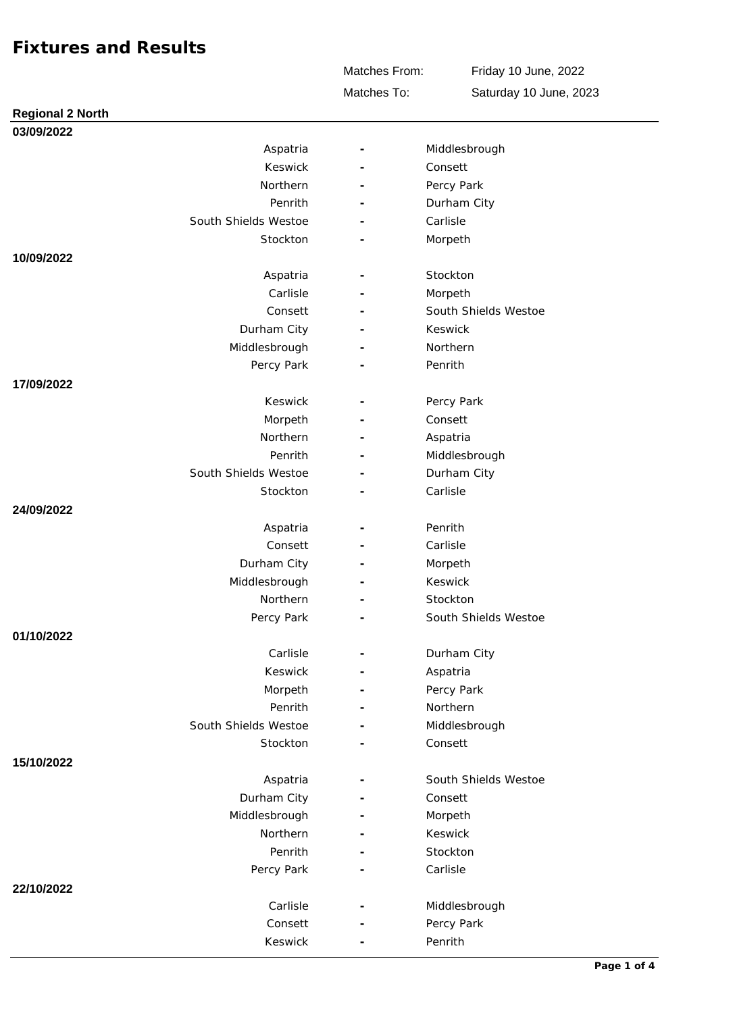Matches To: Matches From:

Friday 10 June, 2022 Saturday 10 June, 2023

| <b>Regional 2 North</b> |                          |                      |
|-------------------------|--------------------------|----------------------|
| 03/09/2022              |                          |                      |
| Aspatria                | $\overline{\phantom{a}}$ | Middlesbrough        |
| Keswick                 |                          | Consett              |
| Northern                |                          | Percy Park           |
| Penrith                 |                          | Durham City          |
| South Shields Westoe    |                          | Carlisle             |
| Stockton                |                          | Morpeth              |
| 10/09/2022              |                          |                      |
| Aspatria                |                          | Stockton             |
| Carlisle                |                          | Morpeth              |
| Consett                 |                          | South Shields Westoe |
| Durham City             |                          | Keswick              |
| Middlesbrough           |                          | Northern             |
| Percy Park              |                          | Penrith              |
| 17/09/2022              |                          |                      |
| Keswick                 |                          | Percy Park           |
| Morpeth                 |                          | Consett              |
| Northern                |                          | Aspatria             |
| Penrith                 |                          | Middlesbrough        |
| South Shields Westoe    |                          | Durham City          |
| Stockton                |                          | Carlisle             |
| 24/09/2022              |                          |                      |
| Aspatria                |                          | Penrith              |
| Consett                 |                          | Carlisle             |
| Durham City             |                          | Morpeth              |
| Middlesbrough           | $\overline{\phantom{a}}$ | Keswick              |
| Northern                |                          | Stockton             |
| Percy Park              |                          | South Shields Westoe |
| 01/10/2022              |                          |                      |
| Carlisle                | $\overline{\phantom{a}}$ | Durham City          |
| Keswick                 |                          | Aspatria             |
| Morpeth                 |                          | Percy Park           |
| Penrith                 |                          | Northern             |
| South Shields Westoe    |                          | Middlesbrough        |
| Stockton                |                          | Consett              |
| 15/10/2022              |                          |                      |
| Aspatria                |                          | South Shields Westoe |
| Durham City             |                          | Consett              |
| Middlesbrough           |                          | Morpeth              |
| Northern                |                          | Keswick              |
| Penrith                 |                          | Stockton             |
| Percy Park              |                          | Carlisle             |
| 22/10/2022              |                          |                      |
| Carlisle                |                          | Middlesbrough        |
| Consett                 |                          | Percy Park           |
| Keswick                 |                          | Penrith              |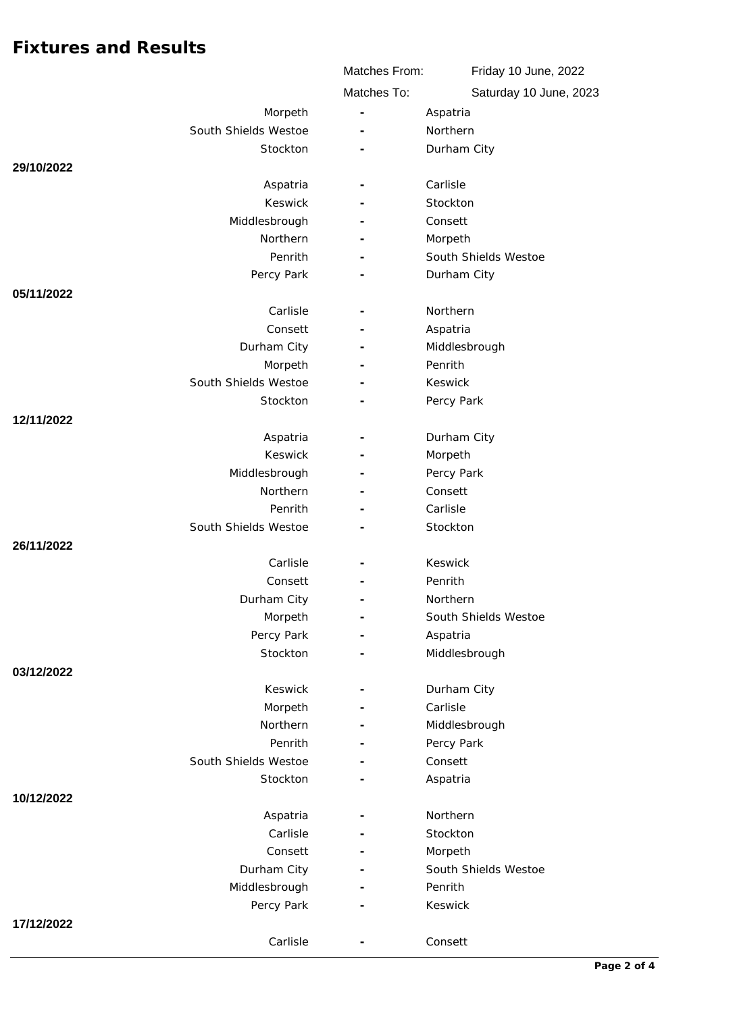|                      |                     | Matches From:            | Friday 10 June, 2022   |
|----------------------|---------------------|--------------------------|------------------------|
|                      |                     | Matches To:              | Saturday 10 June, 2023 |
|                      | Morpeth             |                          | Aspatria               |
| South Shields Westoe |                     |                          | Northern               |
|                      | Stockton            |                          | Durham City            |
| 29/10/2022           |                     |                          |                        |
|                      | Aspatria            |                          | Carlisle               |
|                      | Keswick             |                          | Stockton               |
|                      | Middlesbrough       |                          | Consett                |
|                      | Northern            | $\overline{\phantom{a}}$ | Morpeth                |
|                      | Penrith             |                          | South Shields Westoe   |
|                      | Percy Park          |                          | Durham City            |
| 05/11/2022           |                     |                          |                        |
|                      | Carlisle            | $\overline{\phantom{a}}$ | Northern               |
|                      | Consett             |                          | Aspatria               |
|                      | Durham City         |                          | Middlesbrough          |
|                      | Morpeth             |                          | Penrith                |
| South Shields Westoe |                     |                          | Keswick                |
|                      | Stockton            |                          | Percy Park             |
| 12/11/2022           |                     |                          |                        |
|                      | Aspatria            |                          | Durham City            |
|                      | Keswick             |                          | Morpeth                |
|                      | Middlesbrough       |                          | Percy Park             |
|                      | Northern            |                          | Consett                |
|                      | Penrith             |                          | Carlisle               |
| South Shields Westoe |                     |                          | Stockton               |
| 26/11/2022           |                     |                          |                        |
|                      | Carlisle            |                          | Keswick                |
|                      | Consett             |                          | Penrith                |
|                      | Durham City         |                          | Northern               |
|                      | Morpeth             | $\overline{\phantom{m}}$ | South Shields Westoe   |
|                      | Percy Park          |                          | Aspatria               |
|                      | Stockton            |                          | Middlesbrough          |
| 03/12/2022           |                     |                          |                        |
|                      | Keswick             |                          | Durham City            |
|                      | Morpeth<br>Northern |                          | Carlisle               |
|                      | Penrith             |                          | Middlesbrough          |
| South Shields Westoe |                     |                          | Percy Park<br>Consett  |
|                      | Stockton            |                          | Aspatria               |
| 10/12/2022           |                     |                          |                        |
|                      | Aspatria            |                          | Northern               |
|                      | Carlisle            |                          | Stockton               |
|                      | Consett             |                          | Morpeth                |
|                      | Durham City         |                          | South Shields Westoe   |
|                      | Middlesbrough       |                          | Penrith                |
|                      | Percy Park          |                          | Keswick                |
| 17/12/2022           |                     |                          |                        |
|                      | Carlisle            |                          | Consett                |
|                      |                     |                          |                        |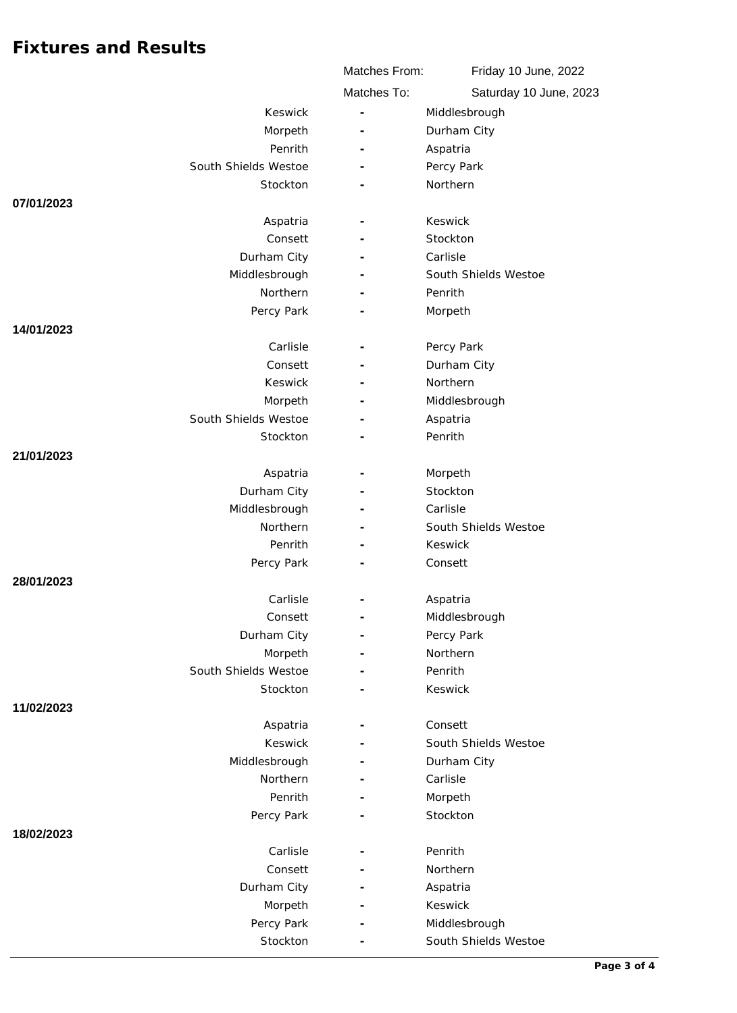|                         | Matches From:            | Friday 10 June, 2022   |
|-------------------------|--------------------------|------------------------|
|                         | Matches To:              | Saturday 10 June, 2023 |
| Keswick                 | $\bar{a}$                | Middlesbrough          |
| Morpeth                 |                          | Durham City            |
| Penrith                 |                          | Aspatria               |
| South Shields Westoe    |                          | Percy Park             |
| Stockton                |                          | Northern               |
| 07/01/2023              |                          |                        |
| Aspatria                |                          | Keswick                |
| Consett                 |                          | Stockton               |
| Durham City             |                          | Carlisle               |
| Middlesbrough           |                          | South Shields Westoe   |
| <b>Northern</b>         |                          | Penrith                |
| Percy Park              |                          | Morpeth                |
| 14/01/2023              |                          |                        |
| Carlisle                |                          | Percy Park             |
| Consett                 |                          | Durham City            |
| Keswick                 |                          | Northern               |
| Morpeth                 |                          | Middlesbrough          |
| South Shields Westoe    |                          | Aspatria               |
| Stockton                |                          | Penrith                |
| 21/01/2023              |                          |                        |
| Aspatria<br>Durham City |                          | Morpeth<br>Stockton    |
| Middlesbrough           |                          | Carlisle               |
| Northern                |                          | South Shields Westoe   |
| Penrith                 |                          | Keswick                |
| Percy Park              |                          | Consett                |
| 28/01/2023              |                          |                        |
| Carlisle                |                          | Aspatria               |
| Consett                 | $\overline{\phantom{a}}$ | Middlesbrough          |
| Durham City             | $\overline{\phantom{a}}$ | Percy Park             |
| Morpeth                 |                          | Northern               |
| South Shields Westoe    |                          | Penrith                |
| Stockton                |                          | Keswick                |
| 11/02/2023              |                          |                        |
| Aspatria                |                          | Consett                |
| Keswick                 |                          | South Shields Westoe   |
| Middlesbrough           |                          | Durham City            |
| Northern                |                          | Carlisle               |
| Penrith                 |                          | Morpeth                |
| Percy Park              |                          | Stockton               |
| 18/02/2023              |                          |                        |
| Carlisle                | $\overline{\phantom{a}}$ | Penrith                |
| Consett                 |                          | Northern               |
| Durham City             |                          | Aspatria               |
| Morpeth                 |                          | Keswick                |
| Percy Park              |                          | Middlesbrough          |
| Stockton                |                          | South Shields Westoe   |